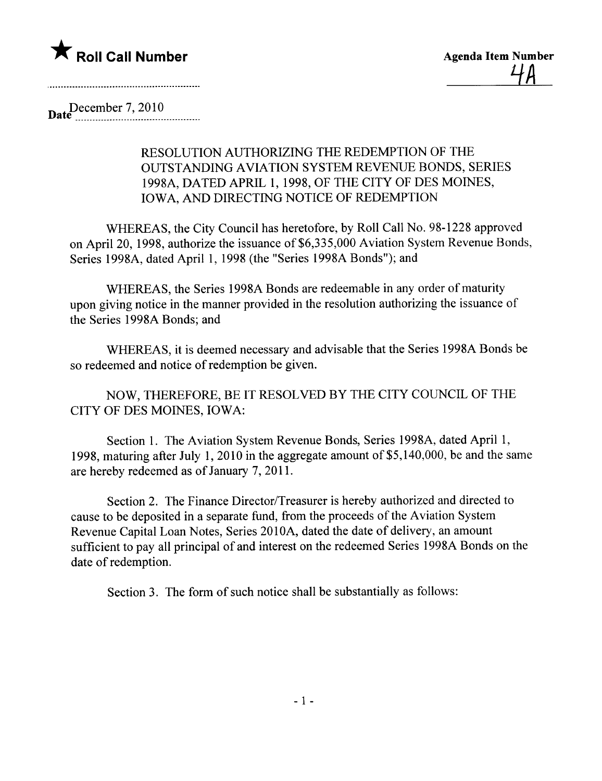

Date<sup>December</sup> 7, 2010

## RESOLUTION AUTHORIZING THE REDEMPTION OF THE OUTSTANDING AVIATION SYSTEM REVENUE BONDS, SERIES 1998A, DATED APRIL 1, 1998, OF THE CITY OF DES MOINES, IOWA, AND DIRECTING NOTICE OF REDEMPTION

WHEREAS, the City Council has heretofore, by Roll Call No. 98-1228 approved on April 20, 1998, authorize the issuance of \$6,335,000 Aviation System Revenue Bonds, Series 1998A, dated April 1, 1998 (the "Series 1998A Bonds"); and

WHEREAS, the Series 1998A Bonds are redeemable in any order of maturity upon giving notice in the manner provided in the resolution authorizing the issuance of the Series 1998A Bonds; and

WHEREAS, it is deemed necessary and advisable that the Series 1998A Bonds be so redeemed and notice of redemption be given.

NOW, THEREFORE, BE IT RESOLVED BY THE CITY COUNCIL OF THE CITY OF DES MOINES, IOWA:

Section 1. The Aviation System Revenue Bonds, Series 1998A, dated April 1, 1998, maturing after July 1, 2010 in the aggregate amount of  $$5,140,000$ , be and the same are hereby redeemed as of January 7, 2011.

Section 2. The Finance Director/Treasurer is hereby authorized and directed to cause to be deposited in a separate fund, from the proceeds of the Aviation System Revenue Capital Loan Notes, Series 2010A, dated the date of delivery, an amount sufficient to pay all principal of and interest on the redeemed Series 1998A Bonds on the date of redemption.

Section 3. The form of such notice shall be substantially as follows: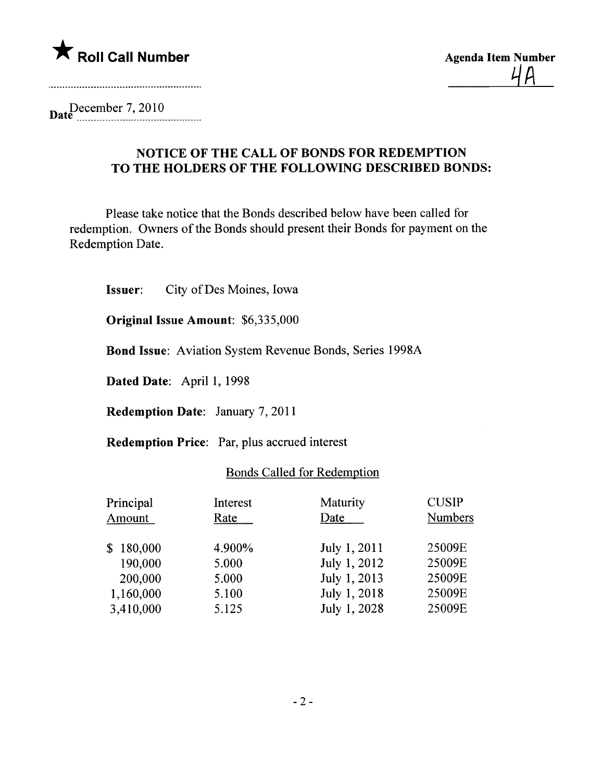

Date  $\frac{December~7,2010}{...}$ 

## NOTICE OF THE CALL OF BONDS FOR REDEMPTION TO THE HOLDERS OF THE FOLLOWING DESCRIBED BONDS:

Please take notice that the Bonds described below have been called for redemption. Owners of the Bonds should present their Bonds for payment on the Redemption Date.

Issuer: City of Des Moines, Iowa

Original Issue Amount: \$6,335,000

Bond Issue: Aviation System Revenue Bonds, Series 1998A

Dated Date: April 1, 1998

Redemption Date: January 7, 2011

Redemption Price: Par, plus accrued interest

## Bonds Called for Redemption

| Principal | Interest | Maturity     | <b>CUSIP</b>   |
|-----------|----------|--------------|----------------|
| Amount    | Rate     | Date         | <b>Numbers</b> |
| \$180,000 | 4.900%   | July 1, 2011 | 25009E         |
| 190,000   | 5.000    | July 1, 2012 | 25009E         |
| 200,000   | 5.000    | July 1, 2013 | 25009E         |
| 1,160,000 | 5.100    | July 1, 2018 | 25009E         |
| 3,410,000 | 5.125    | July 1, 2028 | 25009E         |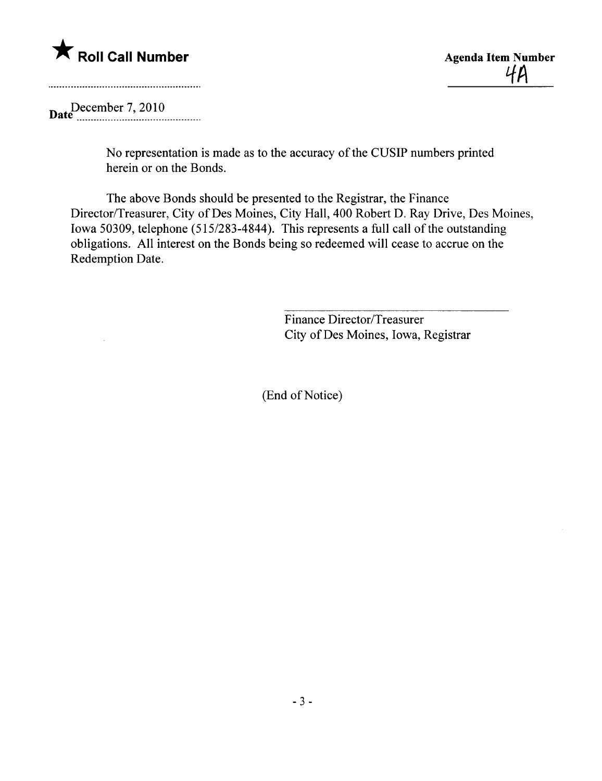

 $4A$ 

December 7, 2010

No representation is made as to the accuracy of the CUSIP numbers printed herein or on the Bonds.

The above Bonds should be presented to the Registrar, the Finance Director/Treasurer, City of Des Moines, City Hall, 400 Robert D. Ray Drive, Des Moines, Iowa 50309, telephone (515/283-4844). This represents a full call of the outstanding obligations. All interest on the Bonds being so redeemed wil cease to accrue on the Redemption Date.

> Finance Director/Treasurer City of Des Moines, Iowa, Registrar

(End of Notice)